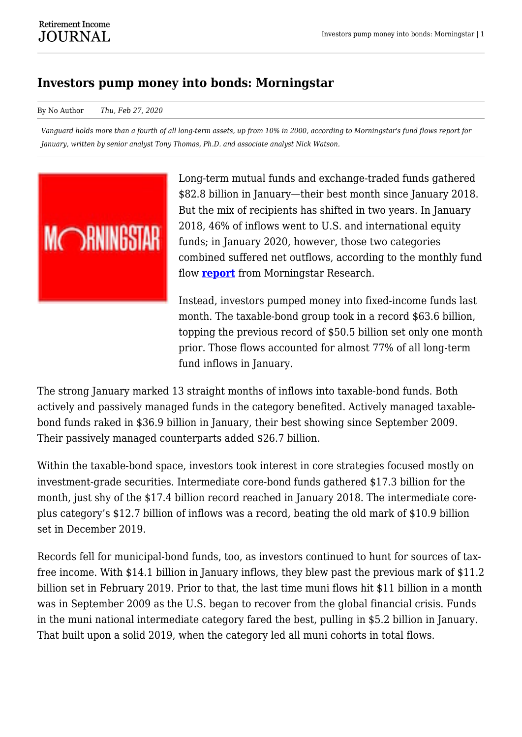## **Investors pump money into bonds: Morningstar**

By No Author *Thu, Feb 27, 2020*

*Vanguard holds more than a fourth of all long-term assets, up from 10% in 2000, according to Morningstar's fund flows report for January, written by senior analyst Tony Thomas, Ph.D. and associate analyst Nick Watson.*



Long-term mutual funds and exchange-traded funds gathered \$82.8 billion in January—their best month since January 2018. But the mix of recipients has shifted in two years. In January 2018, 46% of inflows went to U.S. and international equity funds; in January 2020, however, those two categories combined suffered net outflows, according to the monthly fund flow **[report](https://retirementincomejournal.com/wp-content/uploads/2020/02/Morningstar_Direct_US_Fund_Flows_Commentary_January_2020.pdf)** from Morningstar Research.

Instead, investors pumped money into fixed-income funds last month. The taxable-bond group took in a record \$63.6 billion, topping the previous record of \$50.5 billion set only one month prior. Those flows accounted for almost 77% of all long-term fund inflows in January.

The strong January marked 13 straight months of inflows into taxable-bond funds. Both actively and passively managed funds in the category benefited. Actively managed taxablebond funds raked in \$36.9 billion in January, their best showing since September 2009. Their passively managed counterparts added \$26.7 billion.

Within the taxable-bond space, investors took interest in core strategies focused mostly on investment-grade securities. Intermediate core-bond funds gathered \$17.3 billion for the month, just shy of the \$17.4 billion record reached in January 2018. The intermediate coreplus category's \$12.7 billion of inflows was a record, beating the old mark of \$10.9 billion set in December 2019.

Records fell for municipal-bond funds, too, as investors continued to hunt for sources of taxfree income. With \$14.1 billion in January inflows, they blew past the previous mark of \$11.2 billion set in February 2019. Prior to that, the last time muni flows hit \$11 billion in a month was in September 2009 as the U.S. began to recover from the global financial crisis. Funds in the muni national intermediate category fared the best, pulling in \$5.2 billion in January. That built upon a solid 2019, when the category led all muni cohorts in total flows.